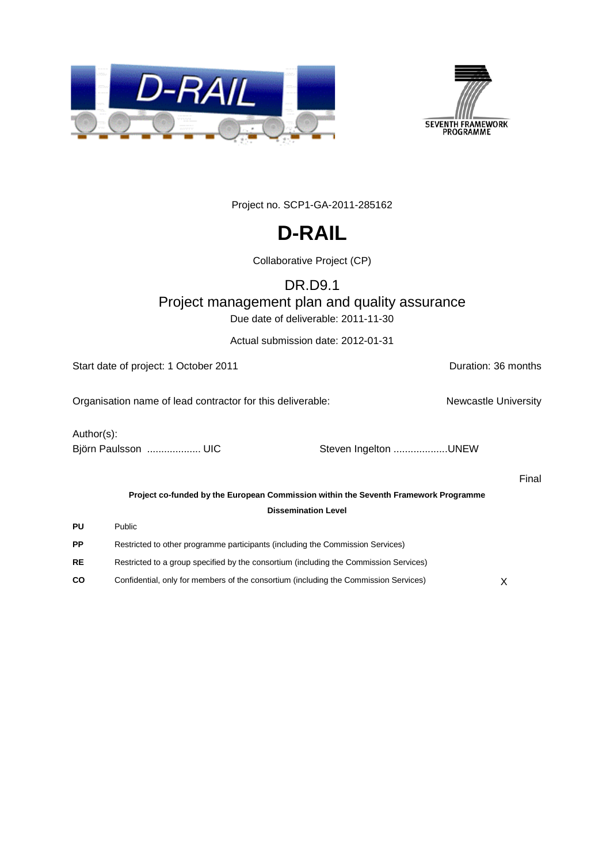



Project no. SCP1-GA-2011-285162

# **D-RAIL**

Collaborative Project (CP)

### DR.D9.1 Project management plan and quality assurance

Due date of deliverable: 2011-11-30

Actual submission date: 2012-01-31

Start date of project: 1 October 2011 **Duration: 36 months** Organisation name of lead contractor for this deliverable: Newcastle University Author(s): Björn Paulsson ......................... UIC Steven Ingelton ..........................UNEW Final **Project co-funded by the European Commission within the Seventh Framework Programme Dissemination Level PU** Public **PP** Restricted to other programme participants (including the Commission Services) **RE** Restricted to a group specified by the consortium (including the Commission Services) **CO** Confidential, only for members of the consortium (including the Commission Services) X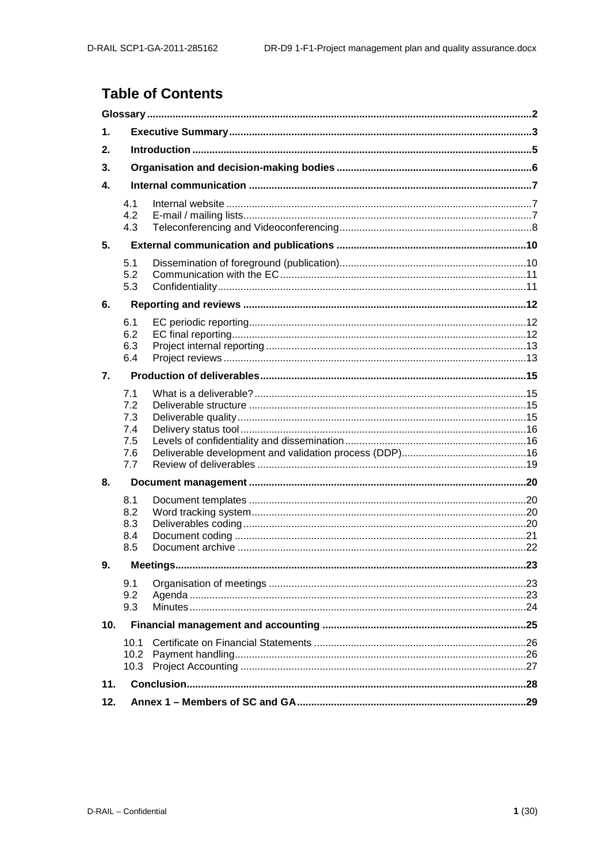### **Table of Contents**

| $\mathbf 1$ . |                                               |  |  |
|---------------|-----------------------------------------------|--|--|
| 2.            |                                               |  |  |
| 3.            |                                               |  |  |
| 4.            |                                               |  |  |
|               | 4.1<br>4.2<br>4.3                             |  |  |
| 5.            |                                               |  |  |
|               | 5.1<br>5.2<br>5.3                             |  |  |
| 6.            |                                               |  |  |
|               | 6.1<br>6.2<br>6.3<br>6.4                      |  |  |
| 7.            |                                               |  |  |
|               | 7.1<br>7.2<br>7.3<br>7.4<br>7.5<br>7.6<br>7.7 |  |  |
| 8.            |                                               |  |  |
|               | 8.1<br>8.2<br>8.3<br>8.4<br>8.5               |  |  |
| 9.            |                                               |  |  |
|               | 9.1<br>9.2<br>9.3                             |  |  |
| 10.           |                                               |  |  |
|               | 10.1<br>10.2<br>10.3                          |  |  |
| 11.           |                                               |  |  |
| 12.           |                                               |  |  |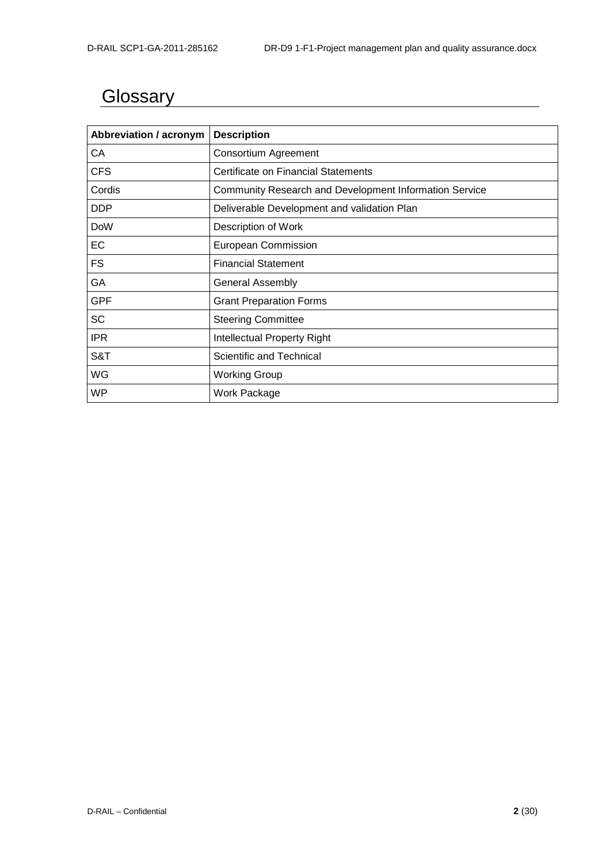# <span id="page-2-0"></span>**Glossary**

| Abbreviation / acronym | <b>Description</b>                                     |
|------------------------|--------------------------------------------------------|
| СA                     | <b>Consortium Agreement</b>                            |
| <b>CFS</b>             | Certificate on Financial Statements                    |
| Cordis                 | Community Research and Development Information Service |
| <b>DDP</b>             | Deliverable Development and validation Plan            |
| <b>DoW</b>             | Description of Work                                    |
| EC                     | European Commission                                    |
| FS                     | <b>Financial Statement</b>                             |
| GA                     | <b>General Assembly</b>                                |
| GPF                    | <b>Grant Preparation Forms</b>                         |
| SC                     | <b>Steering Committee</b>                              |
| <b>IPR</b>             | <b>Intellectual Property Right</b>                     |
| S&T                    | Scientific and Technical                               |
| WG                     | <b>Working Group</b>                                   |
| WP                     | Work Package                                           |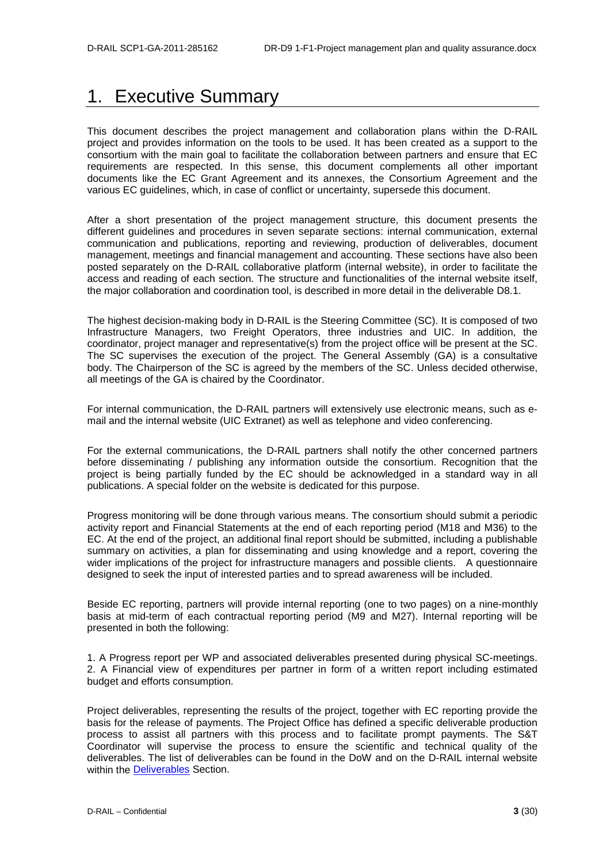## <span id="page-3-0"></span>1. Executive Summary

This document describes the project management and collaboration plans within the D-RAIL project and provides information on the tools to be used. It has been created as a support to the consortium with the main goal to facilitate the collaboration between partners and ensure that EC requirements are respected. In this sense, this document complements all other important documents like the EC Grant Agreement and its annexes, the Consortium Agreement and the various EC guidelines, which, in case of conflict or uncertainty, supersede this document.

After a short presentation of the project management structure, this document presents the different guidelines and procedures in seven separate sections: internal communication, external communication and publications, reporting and reviewing, production of deliverables, document management, meetings and financial management and accounting. These sections have also been posted separately on the D-RAIL collaborative platform (internal website), in order to facilitate the access and reading of each section. The structure and functionalities of the internal website itself, the major collaboration and coordination tool, is described in more detail in the deliverable D8.1.

The highest decision-making body in D-RAIL is the Steering Committee (SC). It is composed of two Infrastructure Managers, two Freight Operators, three industries and UIC. In addition, the coordinator, project manager and representative(s) from the project office will be present at the SC. The SC supervises the execution of the project. The General Assembly (GA) is a consultative body. The Chairperson of the SC is agreed by the members of the SC. Unless decided otherwise, all meetings of the GA is chaired by the Coordinator.

For internal communication, the D-RAIL partners will extensively use electronic means, such as email and the internal website (UIC Extranet) as well as telephone and video conferencing.

For the external communications, the D-RAIL partners shall notify the other concerned partners before disseminating / publishing any information outside the consortium. Recognition that the project is being partially funded by the EC should be acknowledged in a standard way in all publications. A special folder on the website is dedicated for this purpose.

Progress monitoring will be done through various means. The consortium should submit a periodic activity report and Financial Statements at the end of each reporting period (M18 and M36) to the EC. At the end of the project, an additional final report should be submitted, including a publishable summary on activities, a plan for disseminating and using knowledge and a report, covering the wider implications of the project for infrastructure managers and possible clients. A questionnaire designed to seek the input of interested parties and to spread awareness will be included.

Beside EC reporting, partners will provide internal reporting (one to two pages) on a nine-monthly basis at mid-term of each contractual reporting period (M9 and M27). Internal reporting will be presented in both the following:

1. A Progress report per WP and associated deliverables presented during physical SC-meetings. 2. A Financial view of expenditures per partner in form of a written report including estimated budget and efforts consumption.

Project deliverables, representing the results of the project, together with EC reporting provide the basis for the release of payments. The Project Office has defined a specific deliverable production process to assist all partners with this process and to facilitate prompt payments. The S&T Coordinator will supervise the process to ensure the scientific and technical quality of the deliverables. The list of deliverables can be found in the DoW and on the D-RAIL internal website within the [Deliverables](http://ovidentia.uic.org/index.php?tg=fileman&idx=list&id=311&gr=Y&path=Mainline+files%2FML+Common+documents%2F03-Deliverables) Section.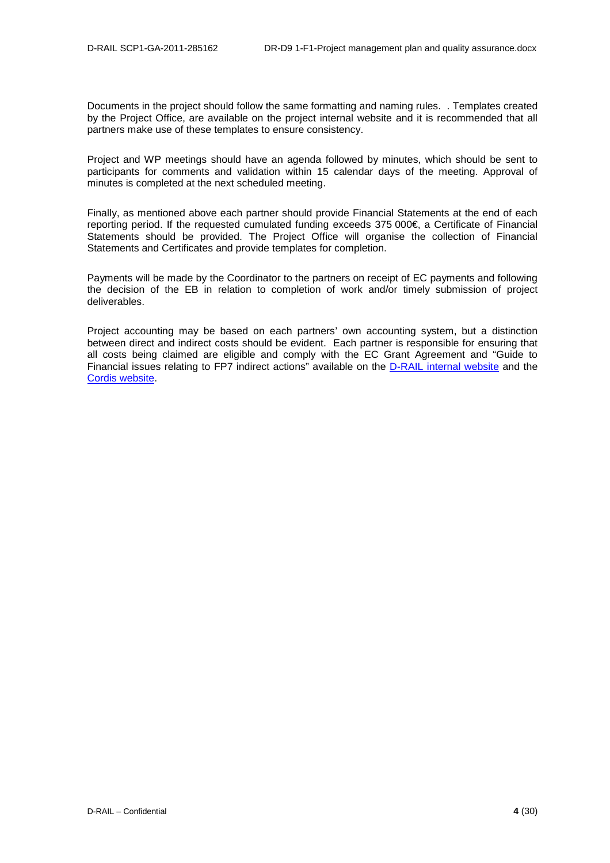Documents in the project should follow the same formatting and naming rules. . Templates created by the Project Office, are available on the project internal website and it is recommended that all partners make use of these templates to ensure consistency.

Project and WP meetings should have an agenda followed by minutes, which should be sent to participants for comments and validation within 15 calendar days of the meeting. Approval of minutes is completed at the next scheduled meeting.

Finally, as mentioned above each partner should provide Financial Statements at the end of each reporting period. If the requested cumulated funding exceeds 375 000€, a Certificate of Financial Statements should be provided. The Project Office will organise the collection of Financial Statements and Certificates and provide templates for completion.

Payments will be made by the Coordinator to the partners on receipt of EC payments and following the decision of the EB in relation to completion of work and/or timely submission of project deliverables.

Project accounting may be based on each partners' own accounting system, but a distinction between direct and indirect costs should be evident. Each partner is responsible for ensuring that all costs being claimed are eligible and comply with the EC Grant Agreement and "Guide to Financial issues relating to FP7 indirect actions" available on the D-RAIL [internal website](http://ovidentia.uic.org/index.php?tg=fileman&idx=list&id=311&gr=Y&path=Mainline+files%2FML+Common+documents%2F02-Reference+documents) and the [Cordis website.](ftp://ftp.cordis.europa.eu/pub/fp7/docs/financialguide_en.pdf)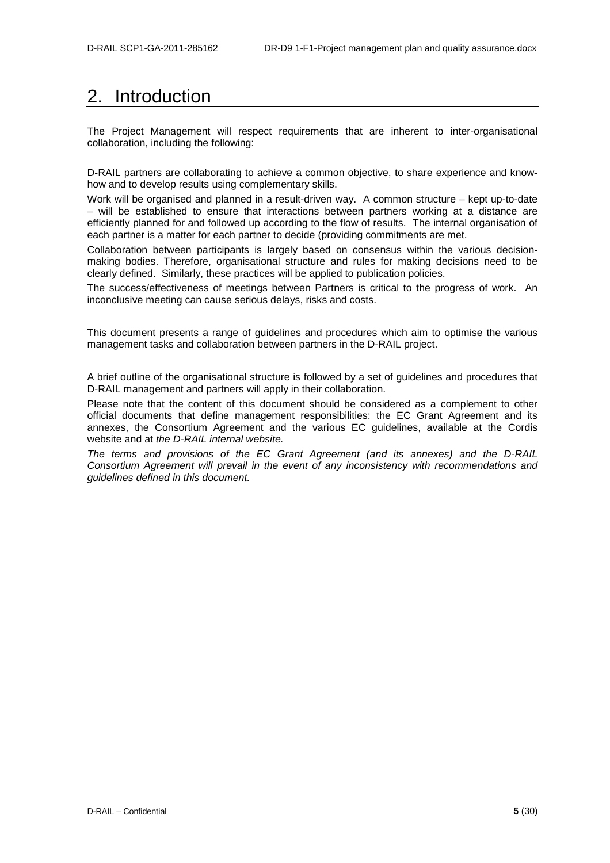## <span id="page-5-0"></span>2. Introduction

The Project Management will respect requirements that are inherent to inter-organisational collaboration, including the following:

D-RAIL partners are collaborating to achieve a common objective, to share experience and knowhow and to develop results using complementary skills.

Work will be organised and planned in a result-driven way. A common structure – kept up-to-date – will be established to ensure that interactions between partners working at a distance are efficiently planned for and followed up according to the flow of results. The internal organisation of each partner is a matter for each partner to decide (providing commitments are met.

Collaboration between participants is largely based on consensus within the various decisionmaking bodies. Therefore, organisational structure and rules for making decisions need to be clearly defined. Similarly, these practices will be applied to publication policies.

The success/effectiveness of meetings between Partners is critical to the progress of work. An inconclusive meeting can cause serious delays, risks and costs.

This document presents a range of guidelines and procedures which aim to optimise the various management tasks and collaboration between partners in the D-RAIL project.

A brief outline of the organisational structure is followed by a set of guidelines and procedures that D-RAIL management and partners will apply in their collaboration.

Please note that the content of this document should be considered as a complement to other official documents that define management responsibilities: the EC Grant Agreement and its annexes, the Consortium Agreement and the various EC guidelines, available at the Cordis website and at *the D-RAIL internal website.*

*The terms and provisions of the EC Grant Agreement (and its annexes) and the D-RAIL Consortium Agreement will prevail in the event of any inconsistency with recommendations and guidelines defined in this document.*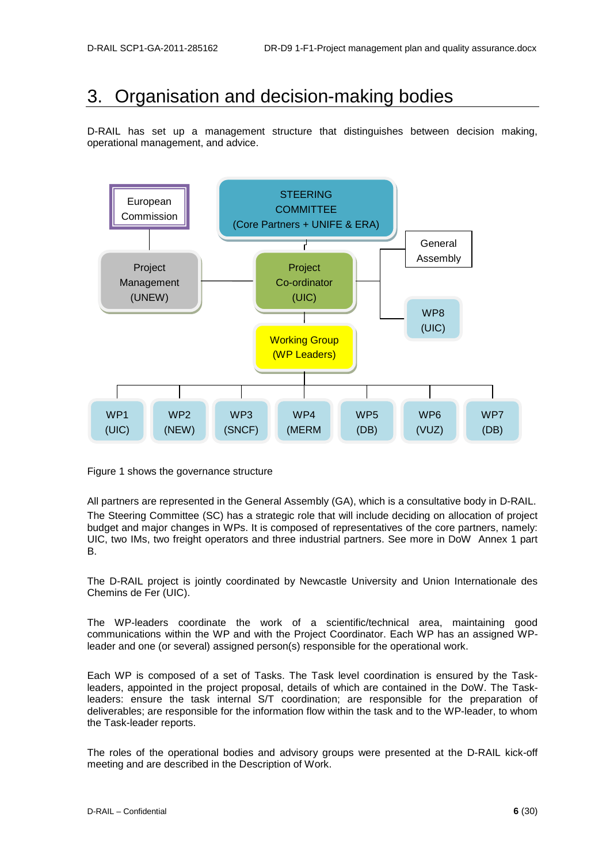## <span id="page-6-0"></span>3. Organisation and decision-making bodies

D-RAIL has set up a management structure that distinguishes between decision making, operational management, and advice.



Figure 1 shows the governance structure

All partners are represented in the General Assembly (GA), which is a consultative body in D-RAIL. The Steering Committee (SC) has a strategic role that will include deciding on allocation of project budget and major changes in WPs. It is composed of representatives of the core partners, namely: UIC, two IMs, two freight operators and three industrial partners. See more in DoW Annex 1 part B.

The D-RAIL project is jointly coordinated by Newcastle University and Union Internationale des Chemins de Fer (UIC).

The WP-leaders coordinate the work of a scientific/technical area, maintaining good communications within the WP and with the Project Coordinator. Each WP has an assigned WPleader and one (or several) assigned person(s) responsible for the operational work.

Each WP is composed of a set of Tasks. The Task level coordination is ensured by the Taskleaders, appointed in the project proposal, details of which are contained in the DoW. The Taskleaders: ensure the task internal S/T coordination; are responsible for the preparation of deliverables; are responsible for the information flow within the task and to the WP-leader, to whom the Task-leader reports.

The roles of the operational bodies and advisory groups were presented at the D-RAIL kick-off meeting and are described in the Description of Work.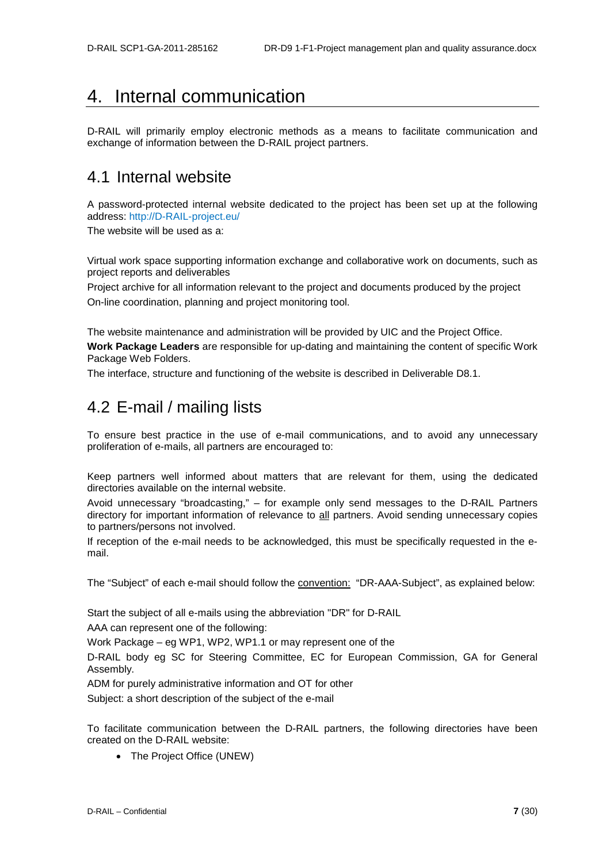## <span id="page-7-0"></span>4. Internal communication

D-RAIL will primarily employ electronic methods as a means to facilitate communication and exchange of information between the D-RAIL project partners.

### <span id="page-7-1"></span>4.1 Internal website

A password-protected internal website dedicated to the project has been set up at the following address: http://D-RAIL-project.eu/

The website will be used as a:

Virtual work space supporting information exchange and collaborative work on documents, such as project reports and deliverables

Project archive for all information relevant to the project and documents produced by the project On-line coordination, planning and project monitoring tool.

The website maintenance and administration will be provided by UIC and the Project Office. **Work Package Leaders** are responsible for up-dating and maintaining the content of specific Work Package Web Folders.

<span id="page-7-2"></span>The interface, structure and functioning of the website is described in Deliverable D8.1.

### 4.2 E-mail / mailing lists

To ensure best practice in the use of e-mail communications, and to avoid any unnecessary proliferation of e-mails, all partners are encouraged to:

Keep partners well informed about matters that are relevant for them, using the dedicated directories available on the internal website.

Avoid unnecessary "broadcasting," – for example only send messages to the D-RAIL Partners directory for important information of relevance to all partners. Avoid sending unnecessary copies to partners/persons not involved.

If reception of the e-mail needs to be acknowledged, this must be specifically requested in the email.

The "Subject" of each e-mail should follow the convention: "DR-AAA-Subject", as explained below:

Start the subject of all e-mails using the abbreviation "DR" for D-RAIL

AAA can represent one of the following:

Work Package – eg WP1, WP2, WP1.1 or may represent one of the

D-RAIL body eg SC for Steering Committee, EC for European Commission, GA for General Assembly.

ADM for purely administrative information and OT for other

Subject: a short description of the subject of the e-mail

To facilitate communication between the D-RAIL partners, the following directories have been created on the D-RAIL website:

• The Project Office (UNEW)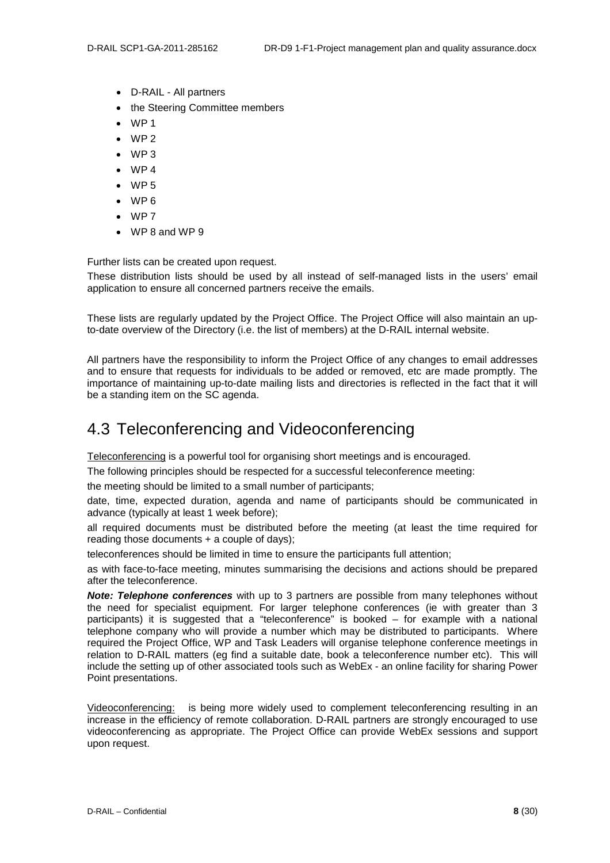- D-RAIL All partners
- the Steering Committee members
- WP<sub>1</sub>
- WP 2
- WP 3
- WP 4
- WP 5
- WP 6
- WP 7
- WP 8 and WP 9

Further lists can be created upon request.

These distribution lists should be used by all instead of self-managed lists in the users' email application to ensure all concerned partners receive the emails.

These lists are regularly updated by the Project Office. The Project Office will also maintain an upto-date overview of the Directory (i.e. the list of members) at the D-RAIL internal website.

All partners have the responsibility to inform the Project Office of any changes to email addresses and to ensure that requests for individuals to be added or removed, etc are made promptly. The importance of maintaining up-to-date mailing lists and directories is reflected in the fact that it will be a standing item on the SC agenda.

### <span id="page-8-0"></span>4.3 Teleconferencing and Videoconferencing

Teleconferencing is a powerful tool for organising short meetings and is encouraged.

The following principles should be respected for a successful teleconference meeting:

the meeting should be limited to a small number of participants;

date, time, expected duration, agenda and name of participants should be communicated in advance (typically at least 1 week before);

all required documents must be distributed before the meeting (at least the time required for reading those documents + a couple of days);

teleconferences should be limited in time to ensure the participants full attention;

as with face-to-face meeting, minutes summarising the decisions and actions should be prepared after the teleconference.

*Note: Telephone conferences* with up to 3 partners are possible from many telephones without the need for specialist equipment. For larger telephone conferences (ie with greater than 3 participants) it is suggested that a "teleconference" is booked – for example with a national telephone company who will provide a number which may be distributed to participants. Where required the Project Office, WP and Task Leaders will organise telephone conference meetings in relation to D-RAIL matters (eg find a suitable date, book a teleconference number etc). This will include the setting up of other associated tools such as WebEx - an online facility for sharing Power Point presentations.

Videoconferencing: is being more widely used to complement teleconferencing resulting in an increase in the efficiency of remote collaboration. D-RAIL partners are strongly encouraged to use videoconferencing as appropriate. The Project Office can provide WebEx sessions and support upon request.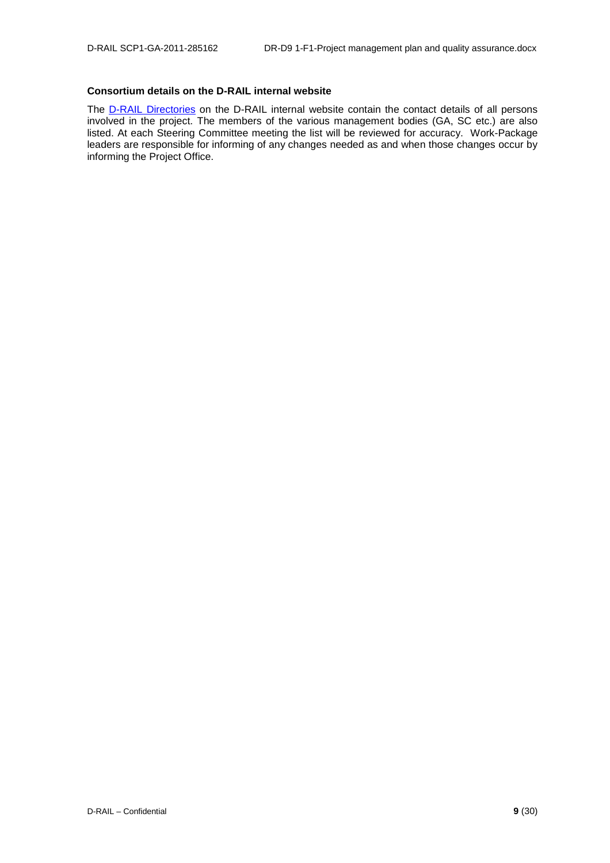#### **Consortium details on the D-RAIL internal website**

The <u>D-RAIL [Directories](http://ovidentia.uic.org/index.php?tg=fileman&idx=list&id=311&gr=Y&path=Mainline+files%2FML+Common+documents%2F06-Contact+lists)</u> on the D-RAIL internal website contain the contact details of all persons involved in the project. The members of the various management bodies (GA, SC etc.) are also listed. At each Steering Committee meeting the list will be reviewed for accuracy. Work-Package leaders are responsible for informing of any changes needed as and when those changes occur by informing the Project Office.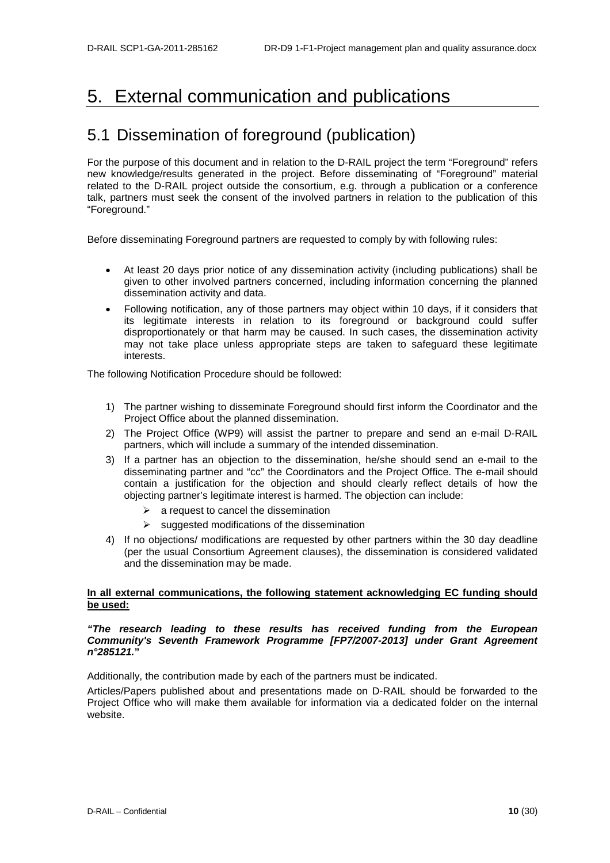## <span id="page-10-0"></span>5. External communication and publications

### <span id="page-10-1"></span>5.1 Dissemination of foreground (publication)

For the purpose of this document and in relation to the D-RAIL project the term "Foreground" refers new knowledge/results generated in the project. Before disseminating of "Foreground" material related to the D-RAIL project outside the consortium, e.g. through a publication or a conference talk, partners must seek the consent of the involved partners in relation to the publication of this "Foreground."

Before disseminating Foreground partners are requested to comply by with following rules:

- At least 20 days prior notice of any dissemination activity (including publications) shall be given to other involved partners concerned, including information concerning the planned dissemination activity and data.
- Following notification, any of those partners may object within 10 days, if it considers that its legitimate interests in relation to its foreground or background could suffer disproportionately or that harm may be caused. In such cases, the dissemination activity may not take place unless appropriate steps are taken to safeguard these legitimate interests.

The following Notification Procedure should be followed:

- 1) The partner wishing to disseminate Foreground should first inform the Coordinator and the Project Office about the planned dissemination.
- 2) The Project Office (WP9) will assist the partner to prepare and send an e-mail D-RAIL partners, which will include a summary of the intended dissemination.
- 3) If a partner has an objection to the dissemination, he/she should send an e-mail to the disseminating partner and "cc" the Coordinators and the Project Office. The e-mail should contain a justification for the objection and should clearly reflect details of how the objecting partner's legitimate interest is harmed. The objection can include:
	- $\triangleright$  a request to cancel the dissemination
	- $\triangleright$  suggested modifications of the dissemination
- 4) If no objections/ modifications are requested by other partners within the 30 day deadline (per the usual Consortium Agreement clauses), the dissemination is considered validated and the dissemination may be made.

#### **In all external communications, the following statement acknowledging EC funding should be used:**

#### *"The research leading to these results has received funding from the European Community's Seventh Framework Programme [FP7/2007-2013] under Grant Agreement n°285121.***"**

Additionally, the contribution made by each of the partners must be indicated.

Articles/Papers published about and presentations made on D-RAIL should be forwarded to the Project Office who will make them available for information via a dedicated folder on the internal website.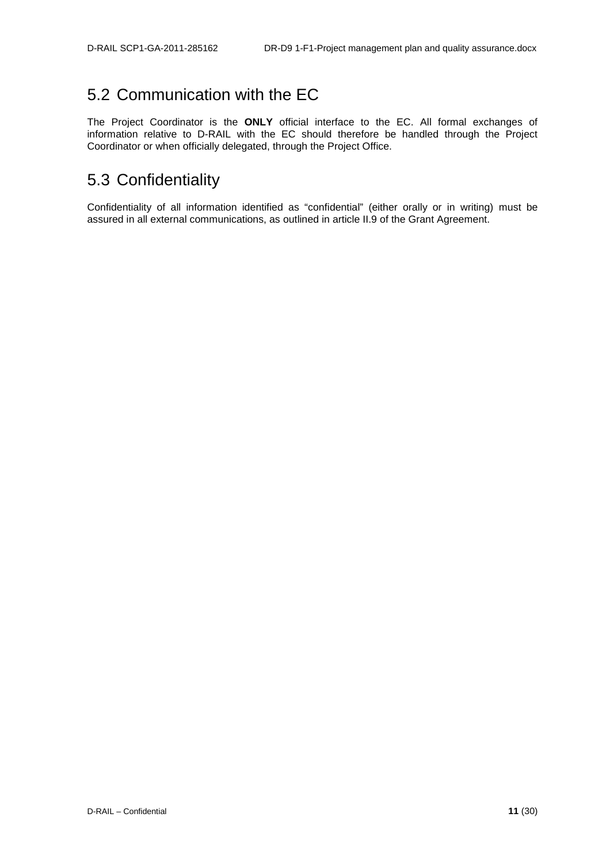## <span id="page-11-0"></span>5.2 Communication with the EC

The Project Coordinator is the **ONLY** official interface to the EC. All formal exchanges of information relative to D-RAIL with the EC should therefore be handled through the Project Coordinator or when officially delegated, through the Project Office.

### <span id="page-11-1"></span>5.3 Confidentiality

Confidentiality of all information identified as "confidential" (either orally or in writing) must be assured in all external communications, as outlined in article II.9 of the Grant Agreement.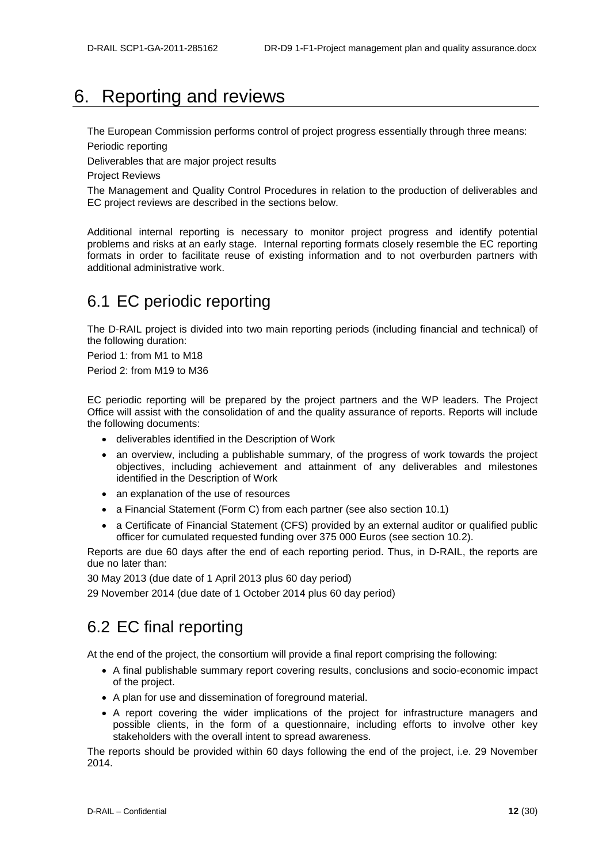## <span id="page-12-0"></span>6. Reporting and reviews

The European Commission performs control of project progress essentially through three means:

Periodic reporting

Deliverables that are major project results

Project Reviews

The Management and Quality Control Procedures in relation to the production of deliverables and EC project reviews are described in the sections below.

Additional internal reporting is necessary to monitor project progress and identify potential problems and risks at an early stage. Internal reporting formats closely resemble the EC reporting formats in order to facilitate reuse of existing information and to not overburden partners with additional administrative work.

### <span id="page-12-1"></span>6.1 EC periodic reporting

The D-RAIL project is divided into two main reporting periods (including financial and technical) of the following duration:

Period 1: from M1 to M18

Period 2: from M19 to M36

EC periodic reporting will be prepared by the project partners and the WP leaders. The Project Office will assist with the consolidation of and the quality assurance of reports. Reports will include the following documents:

- deliverables identified in the Description of Work
- an overview, including a publishable summary, of the progress of work towards the project objectives, including achievement and attainment of any deliverables and milestones identified in the Description of Work
- an explanation of the use of resources
- a Financial Statement (Form C) from each partner (see also section 10.1)
- a Certificate of Financial Statement (CFS) provided by an external auditor or qualified public officer for cumulated requested funding over 375 000 Euros (see section 10.2).

Reports are due 60 days after the end of each reporting period. Thus, in D-RAIL, the reports are due no later than:

30 May 2013 (due date of 1 April 2013 plus 60 day period)

<span id="page-12-2"></span>29 November 2014 (due date of 1 October 2014 plus 60 day period)

### 6.2 EC final reporting

At the end of the project, the consortium will provide a final report comprising the following:

- A final publishable summary report covering results, conclusions and socio-economic impact of the project.
- A plan for use and dissemination of foreground material.
- A report covering the wider implications of the project for infrastructure managers and possible clients, in the form of a questionnaire, including efforts to involve other key stakeholders with the overall intent to spread awareness.

The reports should be provided within 60 days following the end of the project, i.e. 29 November 2014.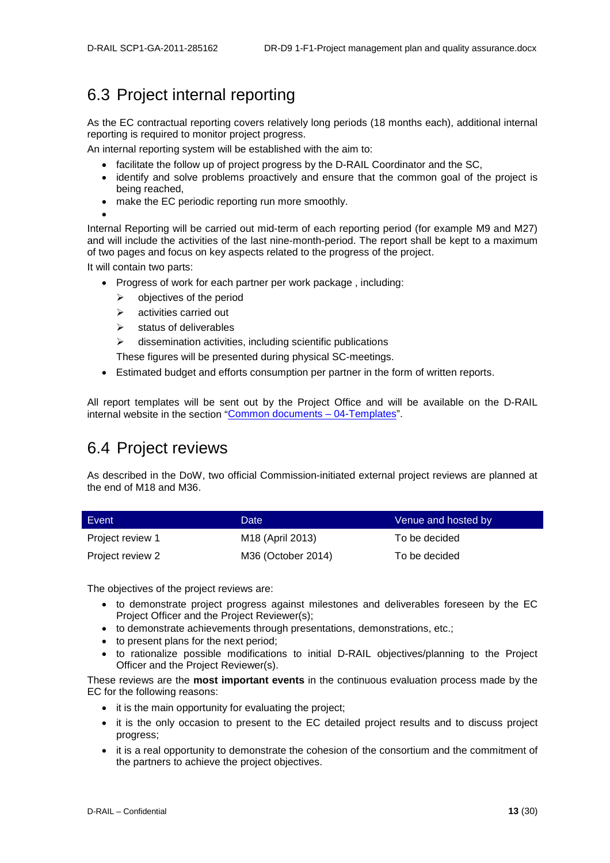## <span id="page-13-0"></span>6.3 Project internal reporting

As the EC contractual reporting covers relatively long periods (18 months each), additional internal reporting is required to monitor project progress.

An internal reporting system will be established with the aim to:

- facilitate the follow up of project progress by the D-RAIL Coordinator and the SC,
- identify and solve problems proactively and ensure that the common goal of the project is being reached,
- make the EC periodic reporting run more smoothly.
- •

Internal Reporting will be carried out mid-term of each reporting period (for example M9 and M27) and will include the activities of the last nine-month-period. The report shall be kept to a maximum of two pages and focus on key aspects related to the progress of the project.

It will contain two parts:

- Progress of work for each partner per work package , including:
	- $\triangleright$  objectives of the period
	- $\triangleright$  activities carried out
	- $\triangleright$  status of deliverables

dissemination activities, including scientific publications

These figures will be presented during physical SC-meetings.

• Estimated budget and efforts consumption per partner in the form of written reports.

All report templates will be sent out by the Project Office and will be available on the D-RAIL internal website in the section ["Common documents –](http://ovidentia.uic.org/index.php?tg=fileman&idx=list&id=311&gr=Y&path=Mainline+files%2FML+Common+documents%2F04-Templates) 04-Templates".

### <span id="page-13-1"></span>6.4 Project reviews

As described in the DoW, two official Commission-initiated external project reviews are planned at the end of M18 and M36.

| Event            | Date               | Venue and hosted by |
|------------------|--------------------|---------------------|
| Project review 1 | M18 (April 2013)   | To be decided       |
| Project review 2 | M36 (October 2014) | To be decided       |

The objectives of the project reviews are:

- to demonstrate project progress against milestones and deliverables foreseen by the EC Project Officer and the Project Reviewer(s);
- to demonstrate achievements through presentations, demonstrations, etc.;
- to present plans for the next period;
- to rationalize possible modifications to initial D-RAIL objectives/planning to the Project Officer and the Project Reviewer(s).

These reviews are the **most important events** in the continuous evaluation process made by the EC for the following reasons:

- it is the main opportunity for evaluating the project:
- it is the only occasion to present to the EC detailed project results and to discuss project progress;
- it is a real opportunity to demonstrate the cohesion of the consortium and the commitment of the partners to achieve the project objectives.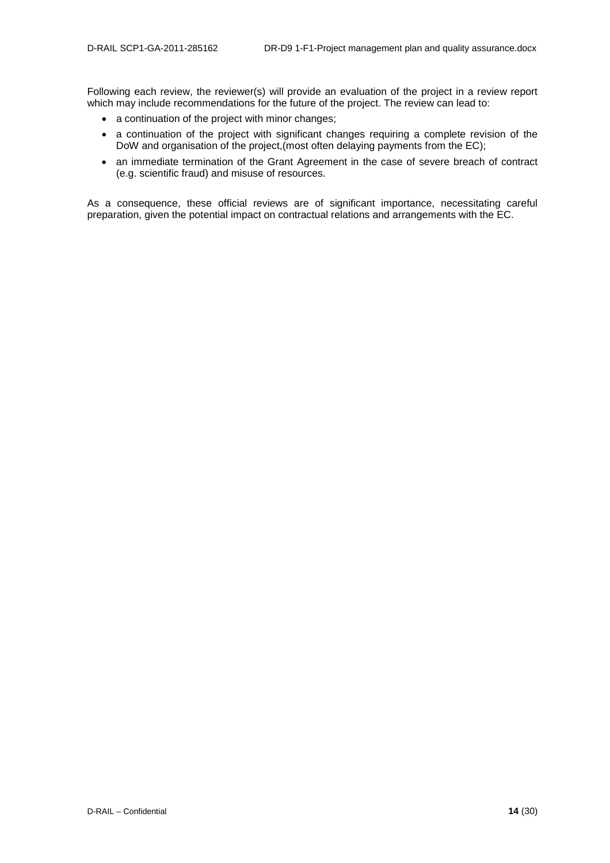Following each review, the reviewer(s) will provide an evaluation of the project in a review report which may include recommendations for the future of the project. The review can lead to:

- a continuation of the project with minor changes;
- a continuation of the project with significant changes requiring a complete revision of the DoW and organisation of the project,(most often delaying payments from the EC);
- an immediate termination of the Grant Agreement in the case of severe breach of contract (e.g. scientific fraud) and misuse of resources.

As a consequence, these official reviews are of significant importance, necessitating careful preparation, given the potential impact on contractual relations and arrangements with the EC.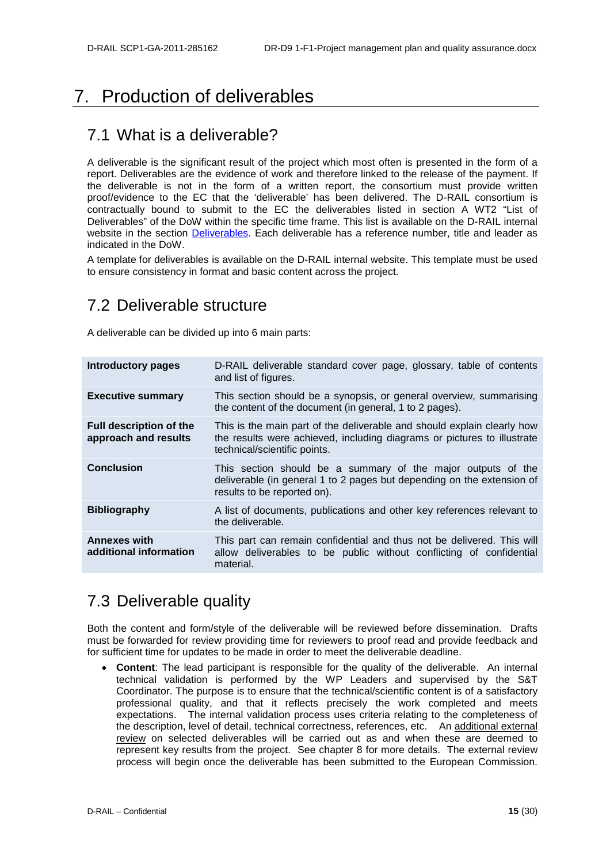## <span id="page-15-0"></span>7. Production of deliverables

### <span id="page-15-1"></span>7.1 What is a deliverable?

A deliverable is the significant result of the project which most often is presented in the form of a report. Deliverables are the evidence of work and therefore linked to the release of the payment. If the deliverable is not in the form of a written report, the consortium must provide written proof/evidence to the EC that the 'deliverable' has been delivered. The D-RAIL consortium is contractually bound to submit to the EC the deliverables listed in section A WT2 "List of Deliverables" of the DoW within the specific time frame. This list is available on the D-RAIL internal website in the section [Deliverables.](http://ovidentia.uic.org/index.php?tg=fileman&idx=list&id=311&gr=Y&path=Mainline+files%2FML+Common+documents%2F03-Deliverables) Each deliverable has a reference number, title and leader as indicated in the DoW.

A template for deliverables is available on the D-RAIL internal website. This template must be used to ensure consistency in format and basic content across the project.

### <span id="page-15-2"></span>7.2 Deliverable structure

A deliverable can be divided up into 6 main parts:

| <b>Introductory pages</b>                              | D-RAIL deliverable standard cover page, glossary, table of contents<br>and list of figures.                                                                                        |
|--------------------------------------------------------|------------------------------------------------------------------------------------------------------------------------------------------------------------------------------------|
| <b>Executive summary</b>                               | This section should be a synopsis, or general overview, summarising<br>the content of the document (in general, 1 to 2 pages).                                                     |
| <b>Full description of the</b><br>approach and results | This is the main part of the deliverable and should explain clearly how<br>the results were achieved, including diagrams or pictures to illustrate<br>technical/scientific points. |
| <b>Conclusion</b>                                      | This section should be a summary of the major outputs of the<br>deliverable (in general 1 to 2 pages but depending on the extension of<br>results to be reported on).              |
| <b>Bibliography</b>                                    | A list of documents, publications and other key references relevant to<br>the deliverable.                                                                                         |
| <b>Annexes with</b><br>additional information          | This part can remain confidential and thus not be delivered. This will<br>allow deliverables to be public without conflicting of confidential<br>material.                         |
|                                                        |                                                                                                                                                                                    |

### <span id="page-15-3"></span>7.3 Deliverable quality

Both the content and form/style of the deliverable will be reviewed before dissemination. Drafts must be forwarded for review providing time for reviewers to proof read and provide feedback and for sufficient time for updates to be made in order to meet the deliverable deadline.

• **Content**: The lead participant is responsible for the quality of the deliverable. An internal technical validation is performed by the WP Leaders and supervised by the S&T Coordinator. The purpose is to ensure that the technical/scientific content is of a satisfactory professional quality, and that it reflects precisely the work completed and meets expectations. The internal validation process uses criteria relating to the completeness of the description, level of detail, technical correctness, references, etc. An additional external review on selected deliverables will be carried out as and when these are deemed to represent key results from the project. See chapter 8 for more details. The external review process will begin once the deliverable has been submitted to the European Commission.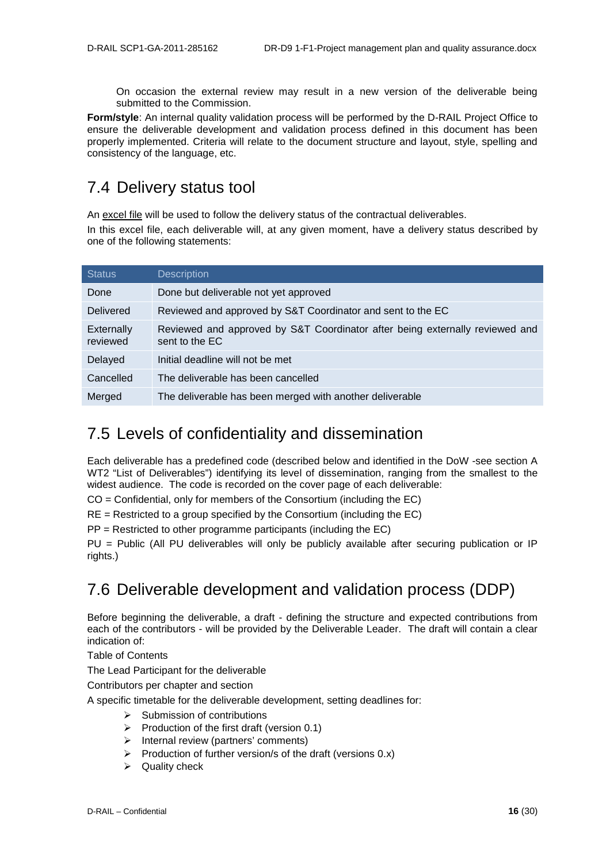On occasion the external review may result in a new version of the deliverable being submitted to the Commission.

**Form/style**: An internal quality validation process will be performed by the D-RAIL Project Office to ensure the deliverable development and validation process defined in this document has been properly implemented. Criteria will relate to the document structure and layout, style, spelling and consistency of the language, etc.

### <span id="page-16-0"></span>7.4 Delivery status tool

An excel file will be used to follow the delivery status of the contractual deliverables.

In this excel file, each deliverable will, at any given moment, have a delivery status described by one of the following statements:

| <b>Status</b>          | <b>Description</b>                                                                             |
|------------------------|------------------------------------------------------------------------------------------------|
| Done                   | Done but deliverable not yet approved                                                          |
| <b>Delivered</b>       | Reviewed and approved by S&T Coordinator and sent to the EC                                    |
| Externally<br>reviewed | Reviewed and approved by S&T Coordinator after being externally reviewed and<br>sent to the EC |
| Delayed                | Initial deadline will not be met                                                               |
| Cancelled              | The deliverable has been cancelled                                                             |
| Merged                 | The deliverable has been merged with another deliverable                                       |

### <span id="page-16-1"></span>7.5 Levels of confidentiality and dissemination

Each deliverable has a predefined code (described below and identified in the DoW -see section A WT2 "List of Deliverables") identifying its level of dissemination, ranging from the smallest to the widest audience. The code is recorded on the cover page of each deliverable:

CO = Confidential, only for members of the Consortium (including the EC)

RE = Restricted to a group specified by the Consortium (including the EC)

PP = Restricted to other programme participants (including the EC)

PU = Public (All PU deliverables will only be publicly available after securing publication or IP rights.)

## <span id="page-16-2"></span>7.6 Deliverable development and validation process (DDP)

Before beginning the deliverable, a draft - defining the structure and expected contributions from each of the contributors - will be provided by the Deliverable Leader. The draft will contain a clear indication of:

Table of Contents

The Lead Participant for the deliverable

Contributors per chapter and section

A specific timetable for the deliverable development, setting deadlines for:

- $\triangleright$  Submission of contributions
- $\triangleright$  Production of the first draft (version 0.1)
- $\triangleright$  Internal review (partners' comments)
- $\triangleright$  Production of further version/s of the draft (versions 0.x)
- $\triangleright$  Quality check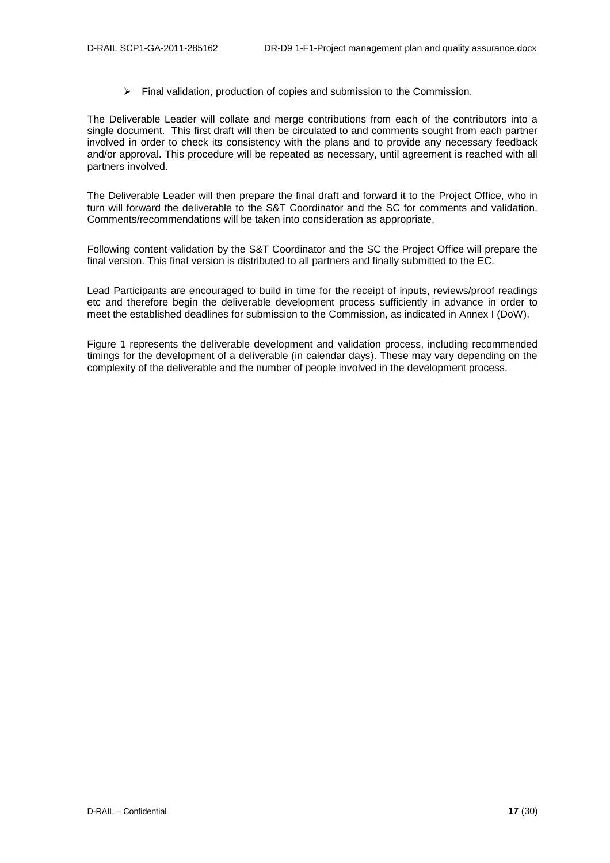$\triangleright$  Final validation, production of copies and submission to the Commission.

The Deliverable Leader will collate and merge contributions from each of the contributors into a single document. This first draft will then be circulated to and comments sought from each partner involved in order to check its consistency with the plans and to provide any necessary feedback and/or approval. This procedure will be repeated as necessary, until agreement is reached with all partners involved.

The Deliverable Leader will then prepare the final draft and forward it to the Project Office, who in turn will forward the deliverable to the S&T Coordinator and the SC for comments and validation. Comments/recommendations will be taken into consideration as appropriate.

Following content validation by the S&T Coordinator and the SC the Project Office will prepare the final version. This final version is distributed to all partners and finally submitted to the EC.

Lead Participants are encouraged to build in time for the receipt of inputs, reviews/proof readings etc and therefore begin the deliverable development process sufficiently in advance in order to meet the established deadlines for submission to the Commission, as indicated in Annex I (DoW).

[Figure 1](#page-18-0) represents the deliverable development and validation process, including recommended timings for the development of a deliverable (in calendar days). These may vary depending on the complexity of the deliverable and the number of people involved in the development process.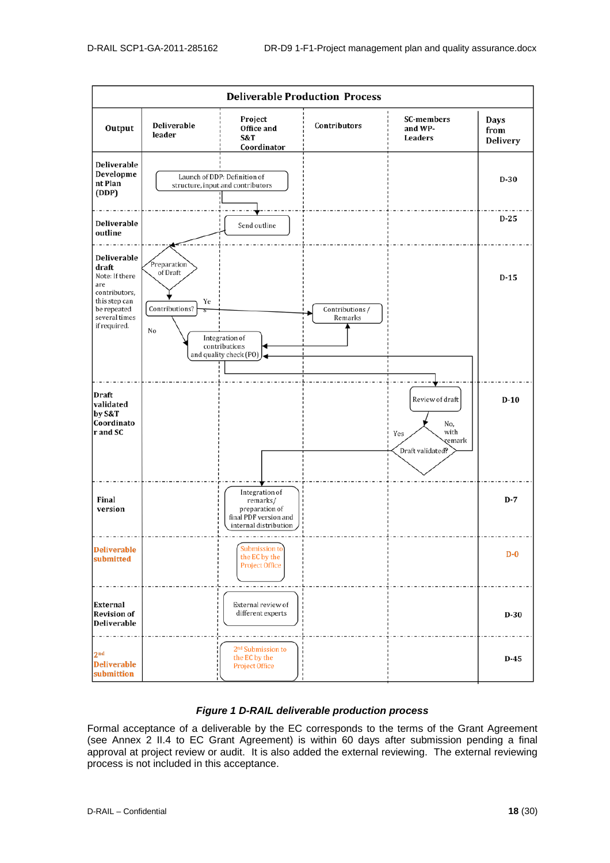

#### *Figure 1 D-RAIL deliverable production process*

<span id="page-18-0"></span>Formal acceptance of a deliverable by the EC corresponds to the terms of the Grant Agreement (see Annex 2 II.4 to EC Grant Agreement) is within 60 days after submission pending a final approval at project review or audit. It is also added the external reviewing. The external reviewing process is not included in this acceptance.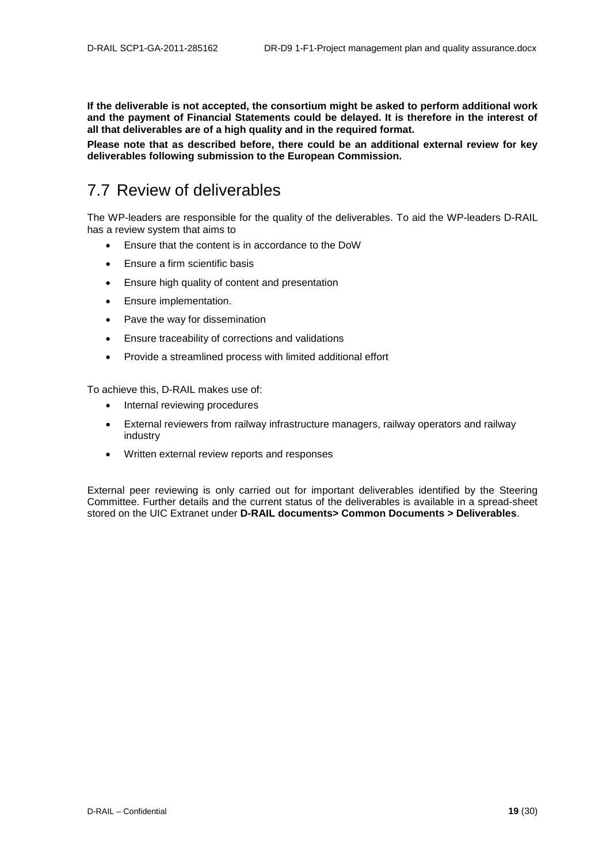**If the deliverable is not accepted, the consortium might be asked to perform additional work and the payment of Financial Statements could be delayed. It is therefore in the interest of all that deliverables are of a high quality and in the required format.**

**Please note that as described before, there could be an additional external review for key deliverables following submission to the European Commission.**

### <span id="page-19-0"></span>7.7 Review of deliverables

The WP-leaders are responsible for the quality of the deliverables. To aid the WP-leaders D-RAIL has a review system that aims to

- Ensure that the content is in accordance to the DoW
- Ensure a firm scientific basis
- Ensure high quality of content and presentation
- Ensure implementation.
- Pave the way for dissemination
- Ensure traceability of corrections and validations
- Provide a streamlined process with limited additional effort

To achieve this, D-RAIL makes use of:

- Internal reviewing procedures
- External reviewers from railway infrastructure managers, railway operators and railway industry
- Written external review reports and responses

External peer reviewing is only carried out for important deliverables identified by the Steering Committee. Further details and the current status of the deliverables is available in a spread-sheet stored on the UIC Extranet under **D-RAIL documents> Common Documents > Deliverables**.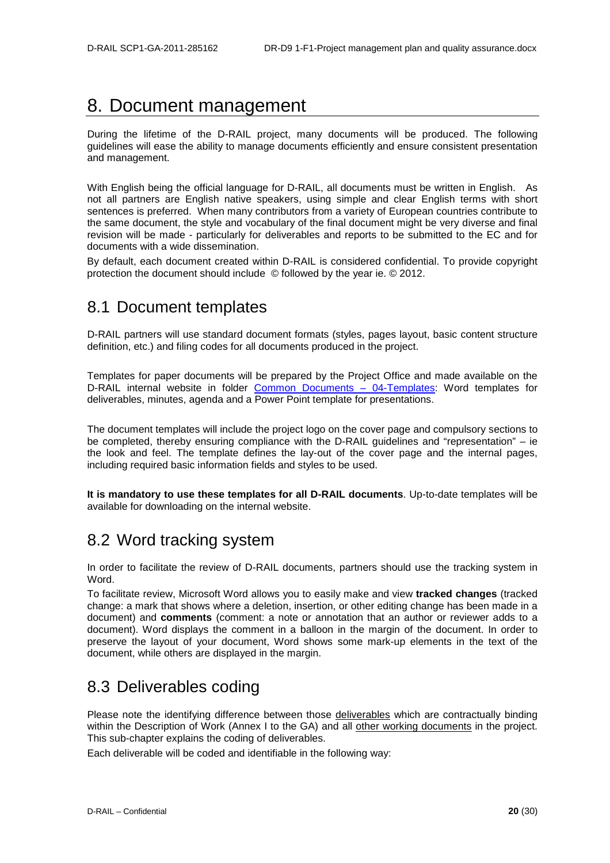## <span id="page-20-0"></span>8. Document management

During the lifetime of the D-RAIL project, many documents will be produced. The following guidelines will ease the ability to manage documents efficiently and ensure consistent presentation and management.

With English being the official language for D-RAIL, all documents must be written in English. As not all partners are English native speakers, using simple and clear English terms with short sentences is preferred. When many contributors from a variety of European countries contribute to the same document, the style and vocabulary of the final document might be very diverse and final revision will be made - particularly for deliverables and reports to be submitted to the EC and for documents with a wide dissemination.

By default, each document created within D-RAIL is considered confidential. To provide copyright protection the document should include © followed by the year ie. © 2012.

### <span id="page-20-1"></span>8.1 Document templates

D-RAIL partners will use standard document formats (styles, pages layout, basic content structure definition, etc.) and filing codes for all documents produced in the project.

Templates for paper documents will be prepared by the Project Office and made available on the D-RAIL internal website in folder [Common Documents –](http://ovidentia.uic.org/index.php?tg=fileman&idx=list&id=311&gr=Y&path=Mainline+files%2FML+Common+documents%2F04-Templates) 04-Templates: Word templates for deliverables, minutes, agenda and a Power Point template for presentations.

The document templates will include the project logo on the cover page and compulsory sections to be completed, thereby ensuring compliance with the D-RAIL guidelines and "representation" – ie the look and feel. The template defines the lay-out of the cover page and the internal pages, including required basic information fields and styles to be used.

**It is mandatory to use these templates for all D-RAIL documents**. Up-to-date templates will be available for downloading on the internal website.

### <span id="page-20-2"></span>8.2 Word tracking system

In order to facilitate the review of D-RAIL documents, partners should use the tracking system in Word.

To facilitate review, Microsoft Word allows you to easily make and view **tracked changes** (tracked change: a mark that shows where a deletion, insertion, or other editing change has been made in a document) and **comments** (comment: a note or annotation that an author or reviewer adds to a document). Word displays the comment in a balloon in the margin of the document. In order to preserve the layout of your document, Word shows some mark-up elements in the text of the document, while others are displayed in the margin.

### <span id="page-20-3"></span>8.3 Deliverables coding

Please note the identifying difference between those deliverables which are contractually binding within the Description of Work (Annex I to the GA) and all other working documents in the project. This sub-chapter explains the coding of deliverables.

Each deliverable will be coded and identifiable in the following way: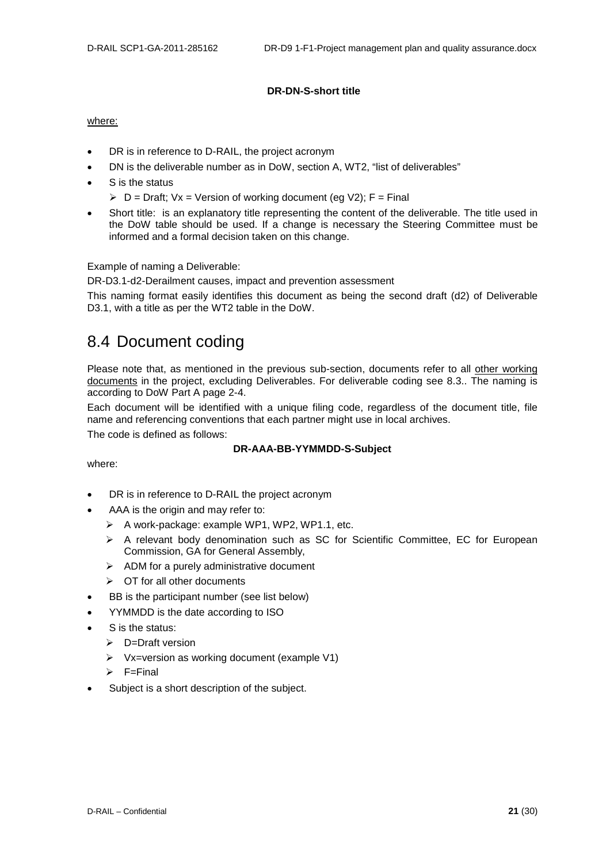#### **DR-DN-S-short title**

#### where:

- DR is in reference to D-RAIL, the project acronym
- DN is the deliverable number as in DoW, section A, WT2, "list of deliverables"
- S is the status
	- $\triangleright$  D = Draft; Vx = Version of working document (eg V2); F = Final
- Short title: is an explanatory title representing the content of the deliverable. The title used in the DoW table should be used. If a change is necessary the Steering Committee must be informed and a formal decision taken on this change.

Example of naming a Deliverable:

DR-D3.1-d2-Derailment causes, impact and prevention assessment

This naming format easily identifies this document as being the second draft (d2) of Deliverable D3.1, with a title as per the WT2 table in the DoW.

### <span id="page-21-0"></span>8.4 Document coding

Please note that, as mentioned in the previous sub-section, documents refer to all other working documents in the project, excluding Deliverables. For deliverable coding see 8.3.. The naming is according to DoW Part A page 2-4.

Each document will be identified with a unique filing code, regardless of the document title, file name and referencing conventions that each partner might use in local archives.

The code is defined as follows:

#### **DR-AAA-BB-YYMMDD-S-Subject**

#### where:

- DR is in reference to D-RAIL the project acronym
- AAA is the origin and may refer to:
	- $\triangleright$  A work-package: example WP1, WP2, WP1.1, etc.
	- A relevant body denomination such as SC for Scientific Committee, EC for European Commission, GA for General Assembly,
	- $\triangleright$  ADM for a purely administrative document
	- $\triangleright$  OT for all other documents
- BB is the participant number (see list below)
- YYMMDD is the date according to ISO
- S is the status:
	- $\triangleright$  D=Draft version
	- $\triangleright$  Vx=version as working document (example V1)
	- $\triangleright$  F=Final
- Subject is a short description of the subject.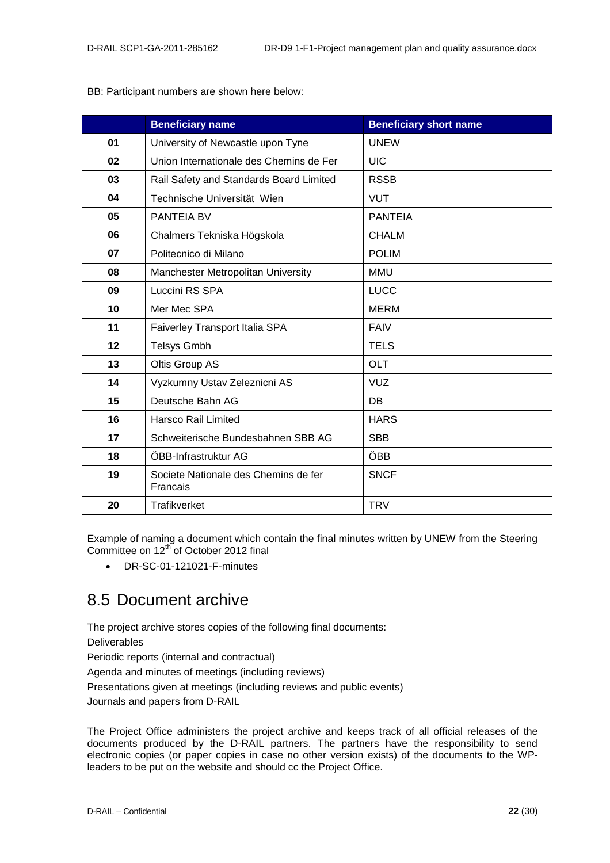| BB: Participant numbers are shown here below: |  |
|-----------------------------------------------|--|
|-----------------------------------------------|--|

|    | <b>Beneficiary name</b>                          | <b>Beneficiary short name</b> |
|----|--------------------------------------------------|-------------------------------|
| 01 | University of Newcastle upon Tyne                | <b>UNEW</b>                   |
| 02 | Union Internationale des Chemins de Fer          | <b>UIC</b>                    |
| 03 | Rail Safety and Standards Board Limited          | <b>RSSB</b>                   |
| 04 | Technische Universität Wien                      | <b>VUT</b>                    |
| 05 | <b>PANTEIA BV</b>                                | <b>PANTEIA</b>                |
| 06 | Chalmers Tekniska Högskola                       | <b>CHALM</b>                  |
| 07 | Politecnico di Milano                            | <b>POLIM</b>                  |
| 08 | Manchester Metropolitan University               | <b>MMU</b>                    |
| 09 | Luccini RS SPA                                   | <b>LUCC</b>                   |
| 10 | Mer Mec SPA                                      | <b>MERM</b>                   |
| 11 | Faiverley Transport Italia SPA                   | <b>FAIV</b>                   |
| 12 | <b>Telsys Gmbh</b>                               | <b>TELS</b>                   |
| 13 | Oltis Group AS                                   | <b>OLT</b>                    |
| 14 | Vyzkumny Ustav Zeleznicni AS                     | <b>VUZ</b>                    |
| 15 | Deutsche Bahn AG                                 | DB                            |
| 16 | <b>Harsco Rail Limited</b>                       | <b>HARS</b>                   |
| 17 | Schweiterische Bundesbahnen SBB AG               | <b>SBB</b>                    |
| 18 | ÖBB-Infrastruktur AG                             | ÖBB                           |
| 19 | Societe Nationale des Chemins de fer<br>Francais | <b>SNCF</b>                   |
| 20 | Trafikverket                                     | <b>TRV</b>                    |

Example of naming a document which contain the final minutes written by UNEW from the Steering Committee on 12<sup>th</sup> of October 2012 final

• DR-SC-01-121021-F-minutes

### <span id="page-22-0"></span>8.5 Document archive

The project archive stores copies of the following final documents:

Deliverables

Periodic reports (internal and contractual)

Agenda and minutes of meetings (including reviews)

Presentations given at meetings (including reviews and public events)

Journals and papers from D-RAIL

The Project Office administers the project archive and keeps track of all official releases of the documents produced by the D-RAIL partners. The partners have the responsibility to send electronic copies (or paper copies in case no other version exists) of the documents to the WPleaders to be put on the website and should cc the Project Office.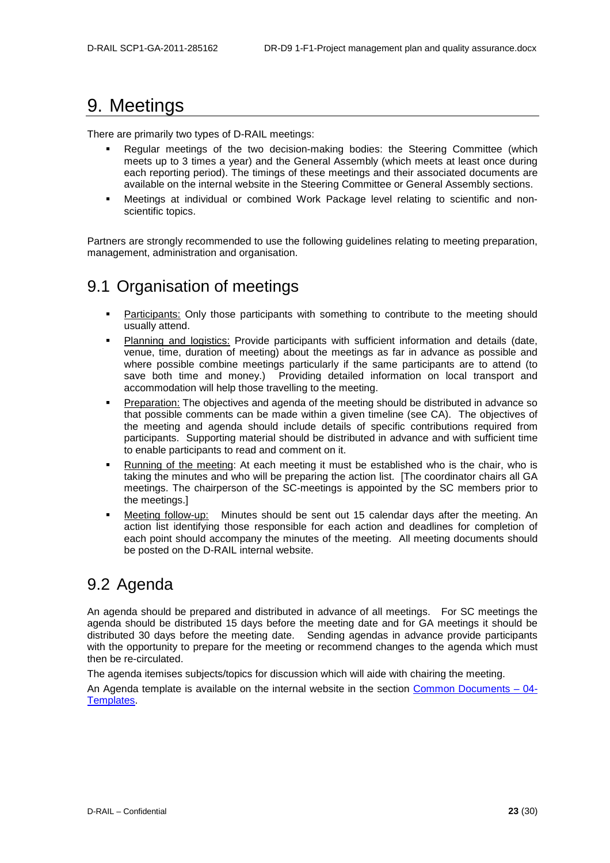## <span id="page-23-0"></span>9. Meetings

There are primarily two types of D-RAIL meetings:

- Regular meetings of the two decision-making bodies: the Steering Committee (which meets up to 3 times a year) and the General Assembly (which meets at least once during each reporting period). The timings of these meetings and their associated documents are available on the internal website in the Steering Committee or General Assembly sections.
- Meetings at individual or combined Work Package level relating to scientific and nonscientific topics.

Partners are strongly recommended to use the following guidelines relating to meeting preparation, management, administration and organisation.

## <span id="page-23-1"></span>9.1 Organisation of meetings

- Participants: Only those participants with something to contribute to the meeting should usually attend.
- Planning and logistics: Provide participants with sufficient information and details (date, venue, time, duration of meeting) about the meetings as far in advance as possible and where possible combine meetings particularly if the same participants are to attend (to save both time and money.) Providing detailed information on local transport and accommodation will help those travelling to the meeting.
- Preparation: The objectives and agenda of the meeting should be distributed in advance so that possible comments can be made within a given timeline (see CA). The objectives of the meeting and agenda should include details of specific contributions required from participants. Supporting material should be distributed in advance and with sufficient time to enable participants to read and comment on it.
- Running of the meeting: At each meeting it must be established who is the chair, who is taking the minutes and who will be preparing the action list. [The coordinator chairs all GA meetings. The chairperson of the SC-meetings is appointed by the SC members prior to the meetings.]
- Meeting follow-up: Minutes should be sent out 15 calendar days after the meeting. An action list identifying those responsible for each action and deadlines for completion of each point should accompany the minutes of the meeting. All meeting documents should be posted on the D-RAIL internal website.

### <span id="page-23-2"></span>9.2 Agenda

An agenda should be prepared and distributed in advance of all meetings. For SC meetings the agenda should be distributed 15 days before the meeting date and for GA meetings it should be distributed 30 days before the meeting date. Sending agendas in advance provide participants with the opportunity to prepare for the meeting or recommend changes to the agenda which must then be re-circulated.

The agenda itemises subjects/topics for discussion which will aide with chairing the meeting.

An Agenda template is available on the internal website in the section Common Documents - 04-[Templates.](http://ovidentia.uic.org/index.php?tg=fileman&idx=list&id=311&gr=Y&path=Mainline+files%2FML+Common+documents%2F04-Templates)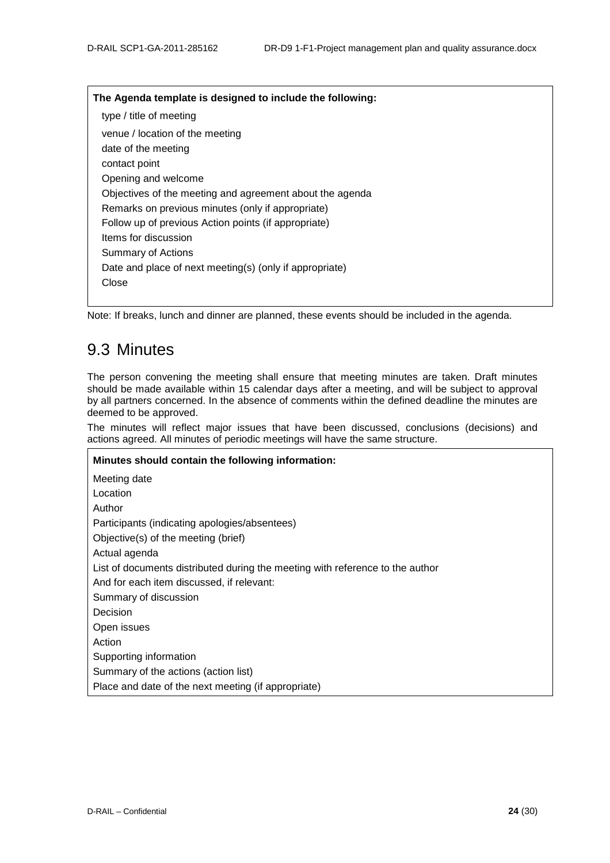#### **The Agenda template is designed to include the following:**

type / title of meeting venue / location of the meeting date of the meeting contact point Opening and welcome Objectives of the meeting and agreement about the agenda Remarks on previous minutes (only if appropriate) Follow up of previous Action points (if appropriate) Items for discussion Summary of Actions Date and place of next meeting(s) (only if appropriate) Close

<span id="page-24-0"></span>Note: If breaks, lunch and dinner are planned, these events should be included in the agenda.

### 9.3 Minutes

The person convening the meeting shall ensure that meeting minutes are taken. Draft minutes should be made available within 15 calendar days after a meeting, and will be subject to approval by all partners concerned. In the absence of comments within the defined deadline the minutes are deemed to be approved.

The minutes will reflect major issues that have been discussed, conclusions (decisions) and actions agreed. All minutes of periodic meetings will have the same structure.

**Minutes should contain the following information:** Meeting date Location Author Participants (indicating apologies/absentees) Objective(s) of the meeting (brief) Actual agenda List of documents distributed during the meeting with reference to the author And for each item discussed, if relevant: Summary of discussion Decision Open issues Action Supporting information Summary of the actions (action list) Place and date of the next meeting (if appropriate)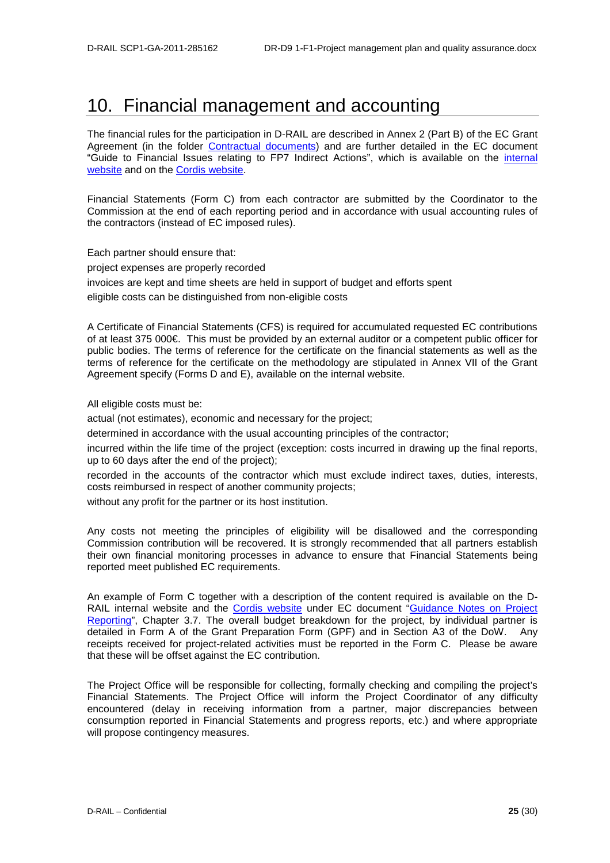## <span id="page-25-0"></span>10. Financial management and accounting

The financial rules for the participation in D-RAIL are described in Annex 2 (Part B) of the EC Grant Agreement (in the folder [Contractual documents\)](http://ovidentia.uic.org/index.php?tg=fileman&idx=list&id=311&gr=Y&path=Mainline+files%2FML+Common+documents%2F00-Contractual+documents) and are further detailed in the EC document "Guide to Financial Issues relating to FP7 Indirect Actions", which is available on the [internal](https://eurtd.org/LotusQuickr/saturn/PageLibraryC12576C6003BFCE8.nsf/h_Toc/DBDB6A6536AA3671C12576C6003CE7C6/?OpenDocument)  [website](https://eurtd.org/LotusQuickr/saturn/PageLibraryC12576C6003BFCE8.nsf/h_Toc/DBDB6A6536AA3671C12576C6003CE7C6/?OpenDocument) and on the [Cordis website.](ftp://ftp.cordis.europa.eu/pub/fp7/docs/financialguide_en.pdf)

Financial Statements (Form C) from each contractor are submitted by the Coordinator to the Commission at the end of each reporting period and in accordance with usual accounting rules of the contractors (instead of EC imposed rules).

Each partner should ensure that: project expenses are properly recorded invoices are kept and time sheets are held in support of budget and efforts spent eligible costs can be distinguished from non-eligible costs

A Certificate of Financial Statements (CFS) is required for accumulated requested EC contributions of at least 375 000€. This must be provided by an external auditor or a competent public officer for public bodies. The terms of reference for the certificate on the financial statements as well as the terms of reference for the certificate on the methodology are stipulated in Annex VII of the Grant Agreement specify (Forms D and E), available on the internal website.

All eligible costs must be:

actual (not estimates), economic and necessary for the project;

determined in accordance with the usual accounting principles of the contractor;

incurred within the life time of the project (exception: costs incurred in drawing up the final reports, up to 60 days after the end of the project);

recorded in the accounts of the contractor which must exclude indirect taxes, duties, interests, costs reimbursed in respect of another community projects;

without any profit for the partner or its host institution.

Any costs not meeting the principles of eligibility will be disallowed and the corresponding Commission contribution will be recovered. It is strongly recommended that all partners establish their own financial monitoring processes in advance to ensure that Financial Statements being reported meet published EC requirements.

An example of Form C together with a description of the content required is available on the D-RAIL internal website and the [Cordis website](ftp://ftp.cordis.europa.eu/pub/fp7/docs/project_reporting_en.pdf) under EC document ["Guidance Notes on Project](https://eurtd.org/LotusQuickr/saturn/PageLibraryC12576C6003BFCE8.nsf/h_Toc/395D003DC09A3578C12576C6003D9356/?OpenDocument)  [Reporting"](https://eurtd.org/LotusQuickr/saturn/PageLibraryC12576C6003BFCE8.nsf/h_Toc/395D003DC09A3578C12576C6003D9356/?OpenDocument), Chapter 3.7. The overall budget breakdown for the project, by individual partner is detailed in Form A of the Grant Preparation Form (GPF) and in Section A3 of the DoW. Any receipts received for project-related activities must be reported in the Form C. Please be aware that these will be offset against the EC contribution.

The Project Office will be responsible for collecting, formally checking and compiling the project's Financial Statements. The Project Office will inform the Project Coordinator of any difficulty encountered (delay in receiving information from a partner, major discrepancies between consumption reported in Financial Statements and progress reports, etc.) and where appropriate will propose contingency measures.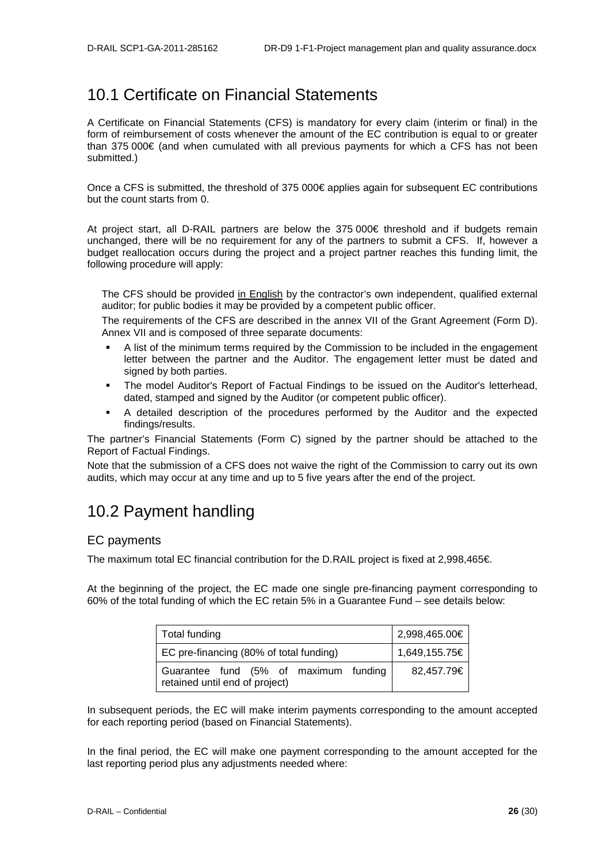### <span id="page-26-0"></span>10.1 Certificate on Financial Statements

A Certificate on Financial Statements (CFS) is mandatory for every claim (interim or final) in the form of reimbursement of costs whenever the amount of the EC contribution is equal to or greater than 375 000€ (and when cumulated with all previous payments for which a CFS has not been submitted.)

Once a CFS is submitted, the threshold of 375 000€ applies again for subsequent EC contributions but the count starts from 0.

At project start, all D-RAIL partners are below the 375 000€ threshold and if budgets remain unchanged, there will be no requirement for any of the partners to submit a CFS. If, however a budget reallocation occurs during the project and a project partner reaches this funding limit, the following procedure will apply:

The CFS should be provided in English by the contractor's own independent, qualified external auditor; for public bodies it may be provided by a competent public officer.

The requirements of the CFS are described in the annex VII of the Grant Agreement (Form D). Annex VII and is composed of three separate documents:

- A list of the minimum terms required by the Commission to be included in the engagement letter between the partner and the Auditor. The engagement letter must be dated and signed by both parties.
- The model Auditor's Report of Factual Findings to be issued on the Auditor's letterhead, dated, stamped and signed by the Auditor (or competent public officer).
- A detailed description of the procedures performed by the Auditor and the expected findings/results.

The partner's Financial Statements (Form C) signed by the partner should be attached to the Report of Factual Findings.

Note that the submission of a CFS does not waive the right of the Commission to carry out its own audits, which may occur at any time and up to 5 five years after the end of the project.

### <span id="page-26-1"></span>10.2 Payment handling

#### EC payments

The maximum total EC financial contribution for the D.RAIL project is fixed at 2,998,465€.

At the beginning of the project, the EC made one single pre-financing payment corresponding to 60% of the total funding of which the EC retain 5% in a Guarantee Fund – see details below:

| Total funding                                                           | 2,998,465.00€ |
|-------------------------------------------------------------------------|---------------|
| EC pre-financing (80% of total funding)                                 | 1,649,155.75€ |
| Guarantee fund (5% of maximum funding<br>retained until end of project) | 82,457.79€    |

In subsequent periods, the EC will make interim payments corresponding to the amount accepted for each reporting period (based on Financial Statements).

In the final period, the EC will make one payment corresponding to the amount accepted for the last reporting period plus any adjustments needed where: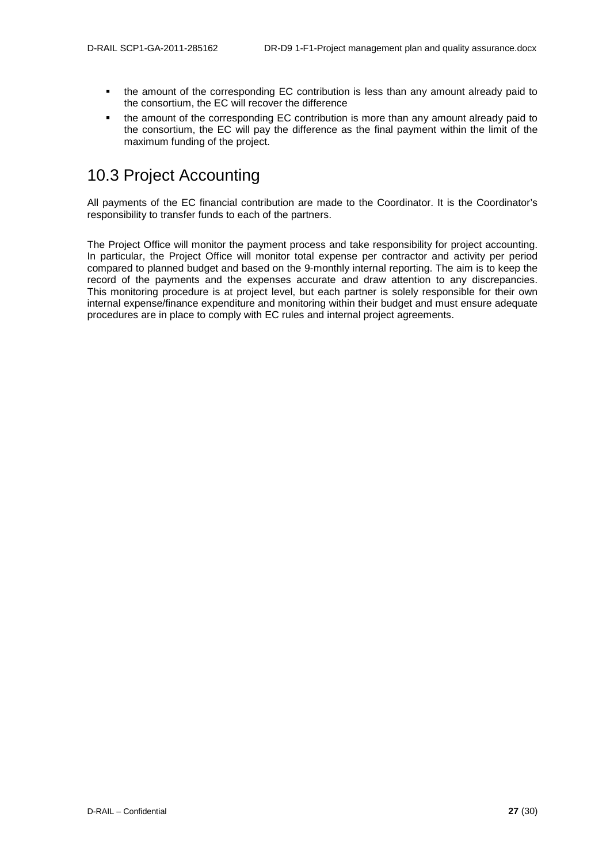- the amount of the corresponding EC contribution is less than any amount already paid to the consortium, the EC will recover the difference
- the amount of the corresponding EC contribution is more than any amount already paid to the consortium, the EC will pay the difference as the final payment within the limit of the maximum funding of the project.

### <span id="page-27-0"></span>10.3 Project Accounting

All payments of the EC financial contribution are made to the Coordinator. It is the Coordinator's responsibility to transfer funds to each of the partners.

The Project Office will monitor the payment process and take responsibility for project accounting. In particular, the Project Office will monitor total expense per contractor and activity per period compared to planned budget and based on the 9-monthly internal reporting. The aim is to keep the record of the payments and the expenses accurate and draw attention to any discrepancies. This monitoring procedure is at project level, but each partner is solely responsible for their own internal expense/finance expenditure and monitoring within their budget and must ensure adequate procedures are in place to comply with EC rules and internal project agreements.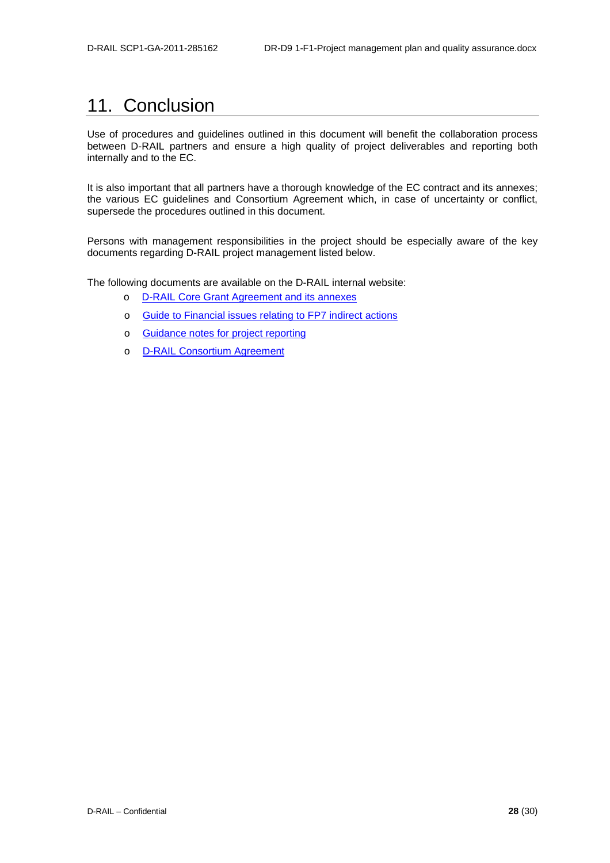## <span id="page-28-0"></span>11. Conclusion

Use of procedures and guidelines outlined in this document will benefit the collaboration process between D-RAIL partners and ensure a high quality of project deliverables and reporting both internally and to the EC.

It is also important that all partners have a thorough knowledge of the EC contract and its annexes; the various EC guidelines and Consortium Agreement which, in case of uncertainty or conflict, supersede the procedures outlined in this document.

Persons with management responsibilities in the project should be especially aware of the key documents regarding D-RAIL project management listed below.

The following documents are available on the D-RAIL internal website:

- o D-RAIL [Core Grant Agreement and its annexes](https://eurtd.org/LotusQuickr/saturn/PageLibraryC12576C6003BEED4.nsf/h_Toc/049046199dce9b03c12576c6003c26d4/?OpenDocument)
- o [Guide to Financial issues relating to FP7 indirect actions](https://eurtd.org/LotusQuickr/saturn/PageLibraryC12576C6003BFCE8.nsf/h_Toc/DBDB6A6536AA3671C12576C6003CE7C6/?OpenDocument)
- o [Guidance notes for project reporting](https://eurtd.org/LotusQuickr/saturn/PageLibraryC12576C6003BFCE8.nsf/h_Toc/395D003DC09A3578C12576C6003D9356/?OpenDocument)
- o D-RAIL [Consortium Agreement](http://ovidentia.uic.org/index.php?tg=fileman&idx=list&id=311&gr=Y&path=Mainline+files%2FML+Common+documents%2F00-Contractual+documents)